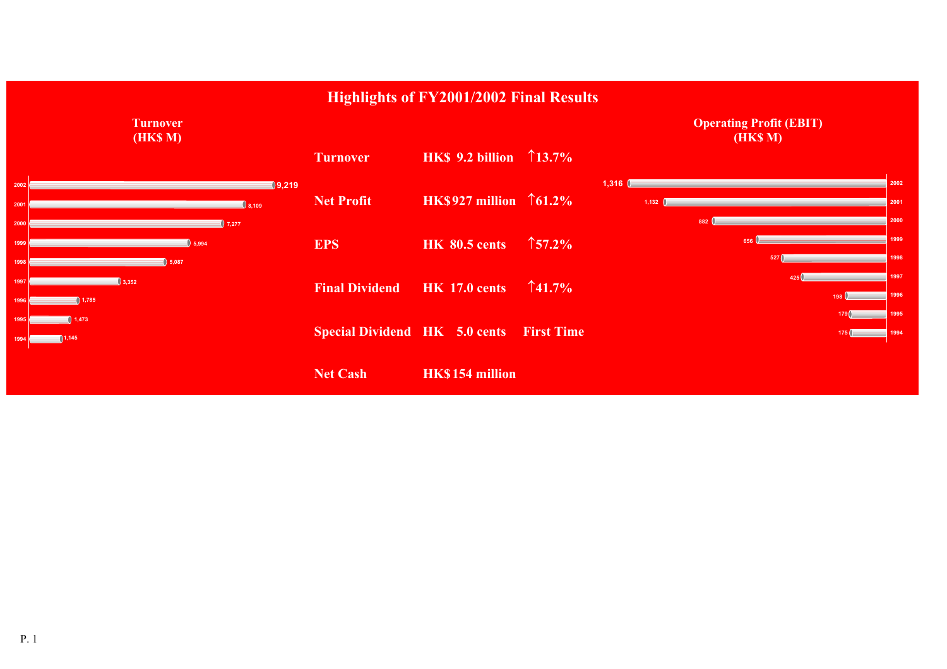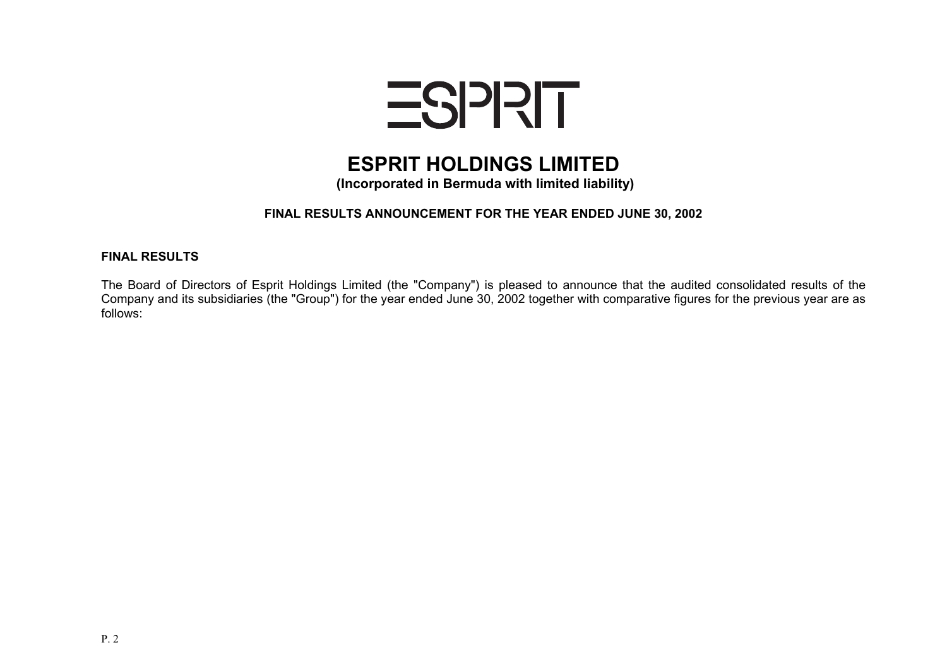

# **ESPRIT HOLDINGS LIMITED**

 **(Incorporated in Bermuda with limited liability)**

# **FINAL RESULTS ANNOUNCEMENT FOR THE YEAR ENDED JUNE 30, 2002**

#### **FINAL RESULTS**

The Board of Directors of Esprit Holdings Limited (the "Company") is pleased to announce that the audited consolidated results of the Company and its subsidiaries (the "Group") for the year ended June 30, 2002 together with comparative figures for the previous year are as follows: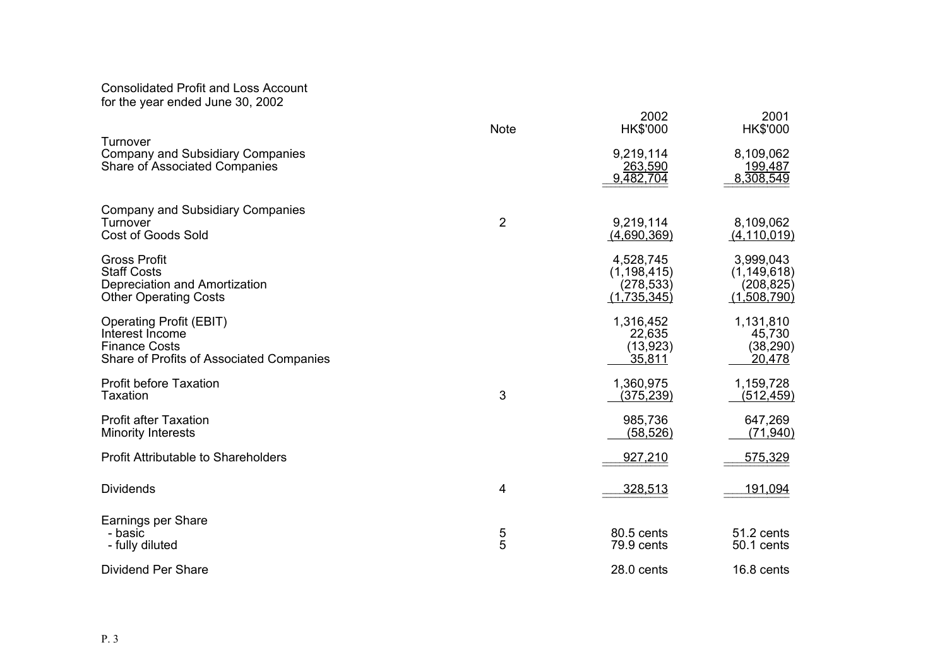#### Consolidated Profit and Loss Account for the year ended June 30, 2002

|                                                                                                                       | <b>Note</b>    | 2002<br><b>HK\$'000</b>                                 | 2001<br><b>HK\$'000</b>                                 |
|-----------------------------------------------------------------------------------------------------------------------|----------------|---------------------------------------------------------|---------------------------------------------------------|
| Turnover<br>Company and Subsidiary Companies<br><b>Share of Associated Companies</b>                                  |                | 9,219,114<br>263,590<br>9,482,704                       | 8,109,062<br><u>199,487</u><br>8,308,549                |
| <b>Company and Subsidiary Companies</b><br>Turnover<br><b>Cost of Goods Sold</b>                                      | $\overline{2}$ | 9,219,114<br>(4,690,369)                                | 8,109,062<br>(4, 110, 019)                              |
| <b>Gross Profit</b><br><b>Staff Costs</b><br>Depreciation and Amortization<br><b>Other Operating Costs</b>            |                | 4,528,745<br>(1, 198, 415)<br>(278, 533)<br>(1,735,345) | 3,999,043<br>(1, 149, 618)<br>(208, 825)<br>(1,508,790) |
| <b>Operating Profit (EBIT)</b><br>Interest Income<br><b>Finance Costs</b><br>Share of Profits of Associated Companies |                | 1,316,452<br>22,635<br>(13, 923)<br>35,811              | 1,131,810<br>45,730<br>(38, 290)<br>20,478              |
| <b>Profit before Taxation</b><br><b>Taxation</b>                                                                      | 3              | 1,360,975<br>(375, 239)                                 | 1,159,728<br>(5 <u>12,459)</u>                          |
| <b>Profit after Taxation</b><br><b>Minority Interests</b>                                                             |                | 985,736<br>(58, 526)                                    | 647,269<br>(71, 940)                                    |
| <b>Profit Attributable to Shareholders</b>                                                                            |                | 927,210                                                 | 575,329                                                 |
| <b>Dividends</b>                                                                                                      | 4              | 328,513                                                 | 191,094                                                 |
| Earnings per Share<br>- basic<br>- fully diluted                                                                      | 5<br>5         | 80.5 cents<br>79.9 cents                                | 51.2 cents<br>50.1 cents                                |
| Dividend Per Share                                                                                                    |                | 28.0 cents                                              | 16.8 cents                                              |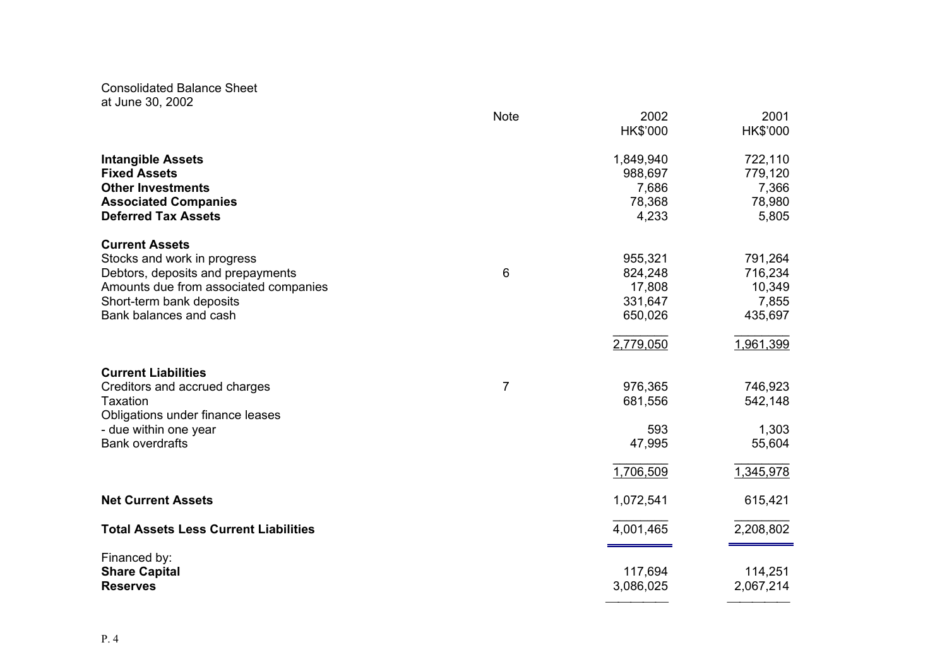Consolidated Balance Sheet at June 30, 2002

|                                              | <b>Note</b>    | 2002      | 2001      |
|----------------------------------------------|----------------|-----------|-----------|
|                                              |                | HK\$'000  | HK\$'000  |
| <b>Intangible Assets</b>                     |                | 1,849,940 | 722,110   |
| <b>Fixed Assets</b>                          |                | 988,697   | 779,120   |
| <b>Other Investments</b>                     |                | 7,686     | 7,366     |
| <b>Associated Companies</b>                  |                | 78,368    | 78,980    |
| <b>Deferred Tax Assets</b>                   |                | 4,233     | 5,805     |
| <b>Current Assets</b>                        |                |           |           |
| Stocks and work in progress                  |                | 955,321   | 791,264   |
| Debtors, deposits and prepayments            | 6              | 824,248   | 716,234   |
| Amounts due from associated companies        |                | 17,808    | 10,349    |
| Short-term bank deposits                     |                | 331,647   | 7,855     |
| Bank balances and cash                       |                | 650,026   | 435,697   |
|                                              |                | 2,779,050 | 1,961,399 |
| <b>Current Liabilities</b>                   |                |           |           |
| Creditors and accrued charges                | $\overline{7}$ | 976,365   | 746,923   |
| Taxation                                     |                | 681,556   | 542,148   |
| Obligations under finance leases             |                |           |           |
| - due within one year                        |                | 593       | 1,303     |
| <b>Bank overdrafts</b>                       |                | 47,995    | 55,604    |
|                                              |                | 1,706,509 | 1,345,978 |
| <b>Net Current Assets</b>                    |                | 1,072,541 | 615,421   |
| <b>Total Assets Less Current Liabilities</b> |                | 4,001,465 | 2,208,802 |
| Financed by:                                 |                |           |           |
| <b>Share Capital</b>                         |                | 117,694   | 114,251   |
| <b>Reserves</b>                              |                | 3,086,025 | 2,067,214 |
|                                              |                |           |           |

\_\_\_\_\_\_\_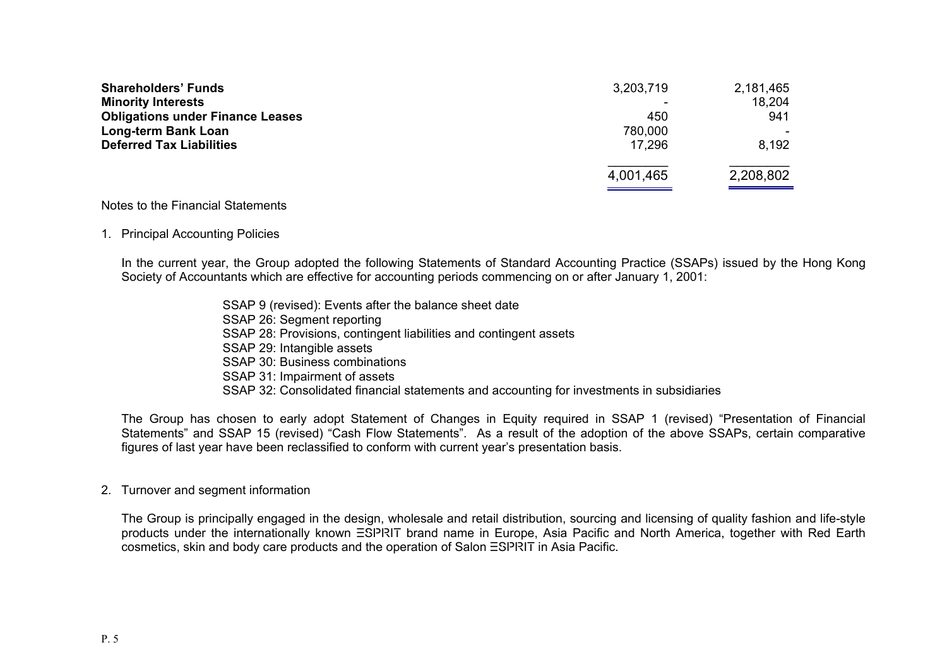| 3,203,719 | 2,181,465 |
|-----------|-----------|
|           | 18,204    |
| 450       | 941       |
| 780,000   |           |
| 17.296    | 8,192     |
| 4,001,465 | 2,208,802 |
|           |           |

#### Notes to the Financial Statements

#### 1. Principal Accounting Policies

In the current year, the Group adopted the following Statements of Standard Accounting Practice (SSAPs) issued by the Hong Kong Society of Accountants which are effective for accounting periods commencing on or after January 1, 2001:

> SSAP 9 (revised): Events after the balance sheet date SSAP 26: Segment reporting SSAP 28: Provisions, contingent liabilities and contingent assets SSAP 29: Intangible assets SSAP 30: Business combinations SSAP 31: Impairment of assets SSAP 32: Consolidated financial statements and accounting for investments in subsidiaries

The Group has chosen to early adopt Statement of Changes in Equity required in SSAP 1 (revised) "Presentation of Financial Statements" and SSAP 15 (revised) "Cash Flow Statements". As a result of the adoption of the above SSAPs, certain comparative figures of last year have been reclassified to conform with current year's presentation basis.

#### 2. Turnover and segment information

The Group is principally engaged in the design, wholesale and retail distribution, sourcing and licensing of quality fashion and life-style products under the internationally known ESPRIT brand name in Europe, Asia Pacific and North America, together with Red Earth cosmetics, skin and body care products and the operation of Salon ESPRIT in Asia Pacific.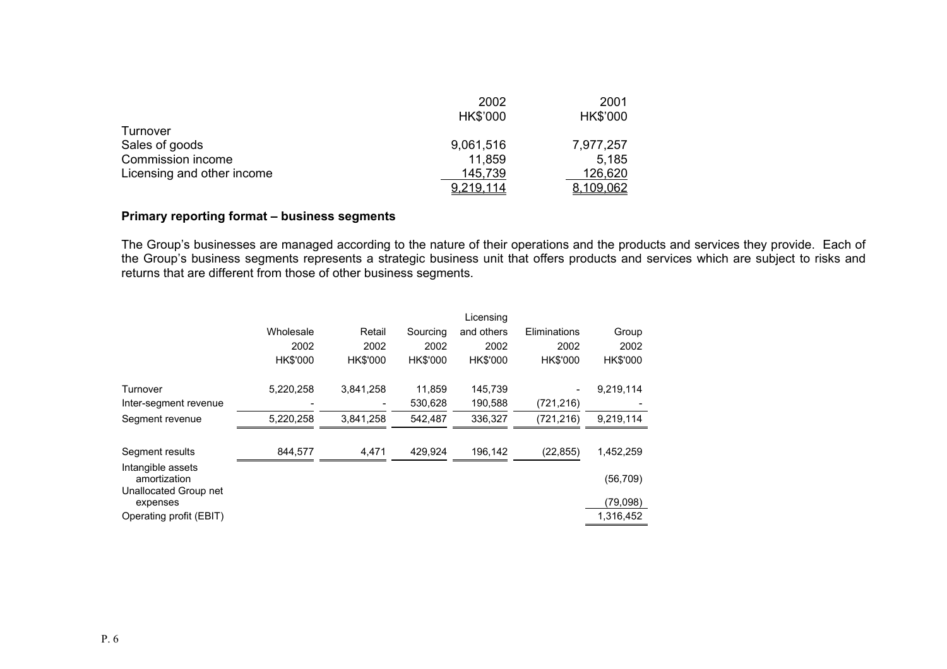|                            | 2002            | 2001      |
|----------------------------|-----------------|-----------|
|                            | <b>HK\$'000</b> | HK\$'000  |
| Turnover                   |                 |           |
| Sales of goods             | 9,061,516       | 7,977,257 |
| Commission income          | 11,859          | 5.185     |
| Licensing and other income | 145,739         | 126,620   |
|                            | 9,219,114       | 8,109,062 |

#### **Primary rep orting format – business segments**

The Group's businesses are managed according to the nature of their operations and the products and services they provide. Each of the Group's business segments represents a strategic business unit that offers products and services which are subject to risks and returns that are different from those of other business segme nts.

|                                                            |                 |                 |                 | Licensing       |                 |           |
|------------------------------------------------------------|-----------------|-----------------|-----------------|-----------------|-----------------|-----------|
|                                                            | Wholesale       | Retail          | Sourcing        | and others      | Eliminations    | Group     |
|                                                            | 2002            | 2002            | 2002            | 2002            | 2002            | 2002      |
|                                                            | <b>HK\$'000</b> | <b>HK\$'000</b> | <b>HK\$'000</b> | <b>HK\$'000</b> | <b>HK\$'000</b> | HK\$'000  |
| Turnover                                                   | 5,220,258       | 3,841,258       | 11,859          | 145,739         |                 | 9,219,114 |
| Inter-segment revenue                                      |                 |                 | 530,628         | 190,588         | (721, 216)      |           |
| Segment revenue                                            | 5,220,258       | 3.841.258       | 542.487         | 336.327         | (721,216)       | 9,219,114 |
|                                                            |                 |                 |                 |                 |                 |           |
| Segment results                                            | 844.577         | 4,471           | 429.924         | 196,142         | (22, 855)       | 1,452,259 |
| Intangible assets<br>amortization<br>Unallocated Group net |                 |                 |                 |                 |                 | (56, 709) |
| expenses                                                   |                 |                 |                 |                 |                 | (79,098)  |
| Operating profit (EBIT)                                    |                 |                 |                 |                 |                 | 1,316,452 |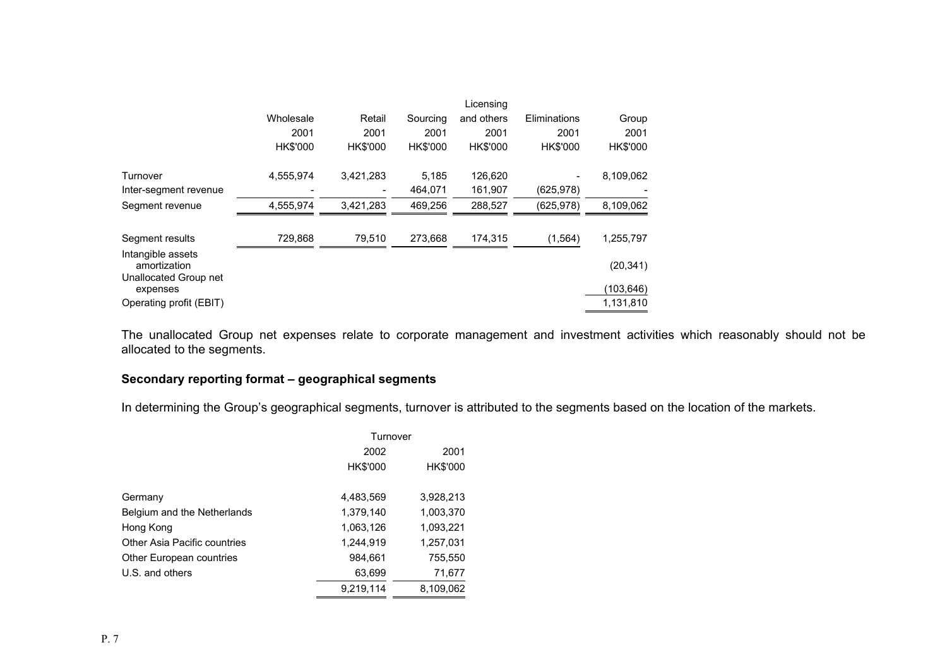|                                                            |           |                 |                 | Licensing  |              |           |
|------------------------------------------------------------|-----------|-----------------|-----------------|------------|--------------|-----------|
|                                                            | Wholesale | Retail          | Sourcing        | and others | Eliminations | Group     |
|                                                            | 2001      | 2001            | 2001            | 2001       | 2001         | 2001      |
|                                                            | HK\$'000  | <b>HK\$'000</b> | <b>HK\$'000</b> | HK\$'000   | HK\$'000     | HK\$'000  |
| Turnover                                                   | 4,555,974 | 3,421,283       | 5,185           | 126,620    |              | 8,109,062 |
| Inter-segment revenue                                      |           |                 | 464,071         | 161,907    | (625, 978)   |           |
| Segment revenue                                            | 4,555,974 | 3,421,283       | 469,256         | 288,527    | (625, 978)   | 8,109,062 |
| Segment results                                            | 729,868   | 79,510          | 273.668         | 174,315    | (1, 564)     | 1,255,797 |
| Intangible assets<br>amortization<br>Unallocated Group net |           |                 |                 |            |              | (20, 341) |
| expenses                                                   |           |                 |                 |            |              | (103,646) |
| Operating profit (EBIT)                                    |           |                 |                 |            |              | 1,131,810 |

The unallocated Group net expenses relate to corporate management and investment activities which reasonably should not be allocated to the segments.

# **Secondary reporting format – geographical segments**

In determining the Group's geographical segments, turnover is attributed to the segments based on the location of the markets.

|                              | Turnover        |                 |
|------------------------------|-----------------|-----------------|
|                              | 2002            | 2001            |
|                              | <b>HK\$'000</b> | <b>HK\$'000</b> |
| Germany                      | 4,483,569       | 3,928,213       |
| Belgium and the Netherlands  | 1,379,140       | 1,003,370       |
| Hong Kong                    | 1,063,126       | 1,093,221       |
| Other Asia Pacific countries | 1,244,919       | 1,257,031       |
| Other European countries     | 984,661         | 755,550         |
| U.S. and others              | 63,699          | 71,677          |
|                              | 9.219.114       | 8,109,062       |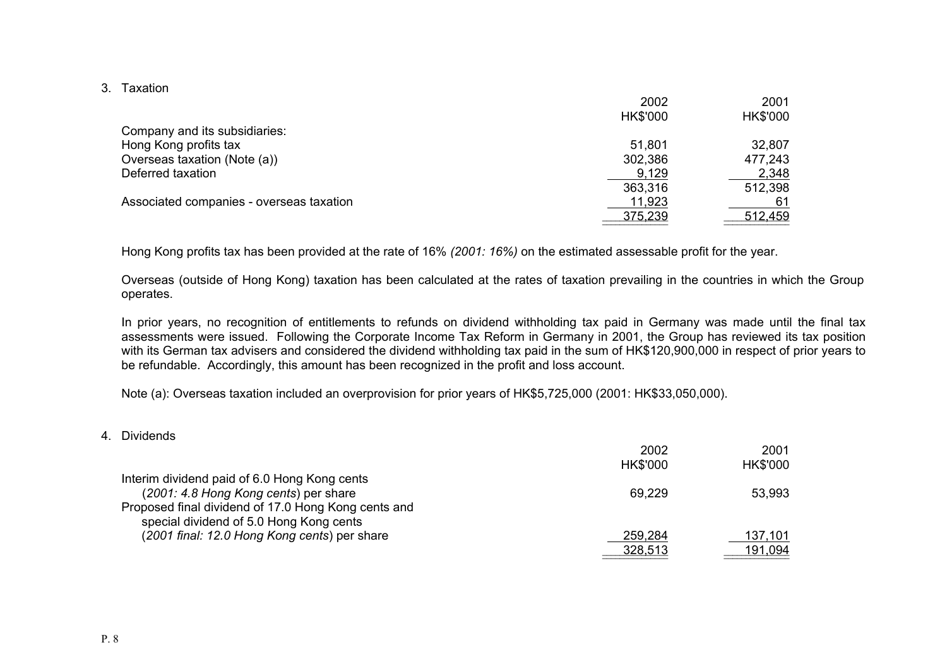3. Taxation

|                                          | 2002            | 2001     |
|------------------------------------------|-----------------|----------|
|                                          | <b>HK\$'000</b> | HK\$'000 |
| Company and its subsidiaries:            |                 |          |
| Hong Kong profits tax                    | 51,801          | 32,807   |
| Overseas taxation (Note (a))             | 302,386         | 477,243  |
| Deferred taxation                        | 9,129           | 2,348    |
|                                          | 363,316         | 512,398  |
| Associated companies - overseas taxation | 11,923          | 61       |
|                                          | 375,239         | 512,459  |

Hong Kong profits tax has been provided at the rate of 16% *(2001: 16%)* on the estimated assessable profit for the year.

Overseas (outside of Hong Kong) taxation has been calculated at the rates of taxation prevailing in the countries in which the Group operates.

\_\_\_\_\_\_\_\_\_\_

In prior years, no recognition of entitlements to refunds on dividend withholding tax paid in Germany was made until the final tax assessments were issued. Following the Corporate Income Tax Reform in Germany in 2001, the Group has reviewed its tax position with its German tax advisers and considered the dividend withholding tax paid in the sum of HK\$120,900,000 in respect of prior years to be refundable. Accordingly, this amount has been recognized in the profit and loss account.

Note (a): Overseas taxation included an overprovision for prior years of HK\$5,725,000 (2001: HK\$33,050,000).

4. Dividends

|                                                     | 2002            | 2001            |
|-----------------------------------------------------|-----------------|-----------------|
|                                                     | <b>HK\$'000</b> | <b>HK\$'000</b> |
| Interim dividend paid of 6.0 Hong Kong cents        |                 |                 |
| (2001: 4.8 Hong Kong cents) per share               | 69,229          | 53,993          |
| Proposed final dividend of 17.0 Hong Kong cents and |                 |                 |
| special dividend of 5.0 Hong Kong cents             |                 |                 |
| (2001 final: 12.0 Hong Kong cents) per share        | 259,284         | 137,101         |
|                                                     | 328,513         | 191,094         |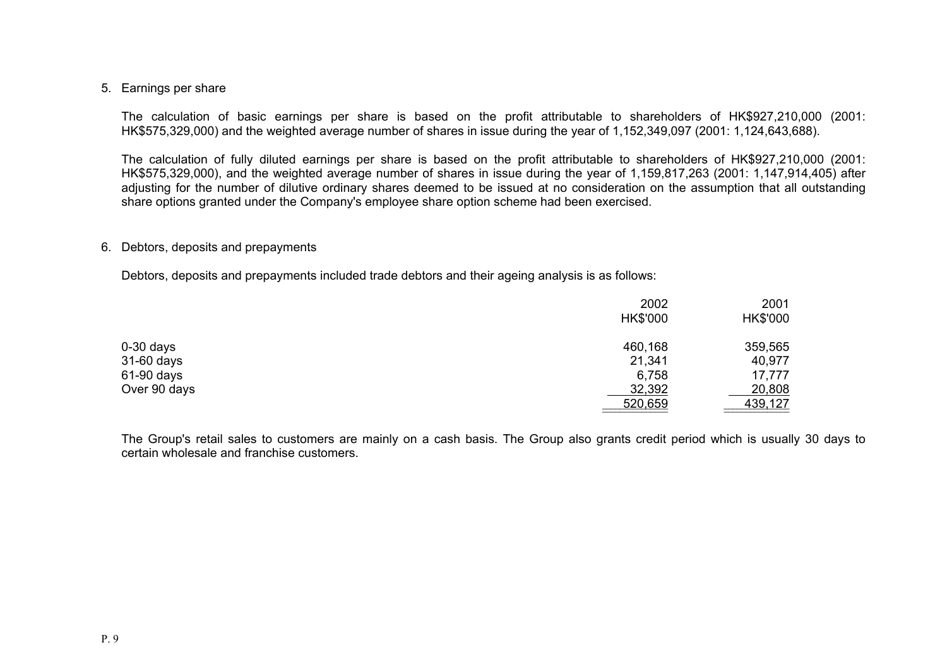#### 5. Earnings per share

The calculation of basic earnings per share is based on the profit attributable to shareholders of HK\$927,210,000 (2001: HK\$575,329,000) and the weighted average number of shares in issue during the year of 1,152,349,097 (2001: 1,124,643,688).

The calculation of fully diluted earnings per share is based on the profit attributable to shareholders of HK\$927,210,000 (2001: HK\$575,329,000), and the weighted average number of shares in issue during the year of 1,159,817,263 (2001: 1,147,914,405) after adjusting for the number of dilutive ordinary shares deemed to be issued at no consideration on the assumption that all outstanding share options granted under the Company's employee share option scheme had been exercised.

#### 6. Debtors, deposits and prepayments

Debtors, deposits and prepayments included trade debtors and their ageing analysis is as follows:

|              | 2002            | 2001            |
|--------------|-----------------|-----------------|
|              | <b>HK\$'000</b> | <b>HK\$'000</b> |
| $0-30$ days  | 460,168         | 359,565         |
| 31-60 days   | 21,341          | 40,977          |
| 61-90 days   | 6,758           | 17,777          |
| Over 90 days | 32,392          | 20,808          |
|              | 520,659         | 439,127         |

The Group's retail sales to customers are mainly on a cash basis. The Group also grants credit period which is usually 30 days to certain wholesale and franchise customers.

\_\_\_\_\_\_\_\_\_\_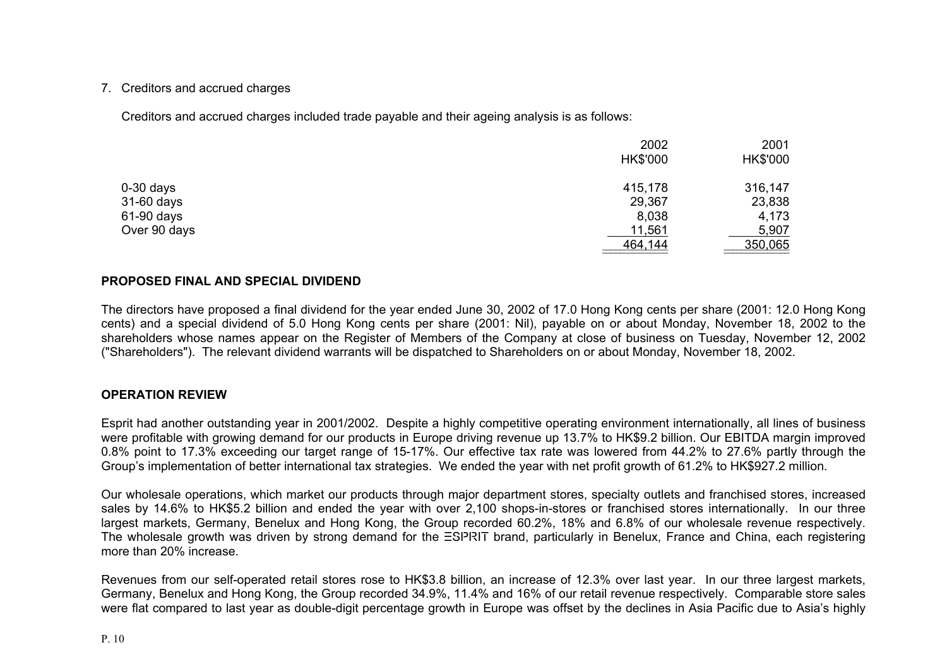## 7. Creditors and accrued charges

Creditors and accrued charges included trade payable and their ageing analysis is as follows:

|              | 2002<br><b>HK\$'000</b> | 2001<br><b>HK\$'000</b> |
|--------------|-------------------------|-------------------------|
|              |                         |                         |
| $0-30$ days  | 415,178                 | 316,147                 |
| 31-60 days   | 29,367                  | 23,838                  |
| 61-90 days   | 8,038                   | 4,173                   |
| Over 90 days | 11,561                  | 5,907                   |
|              | 464,144                 | 350,065                 |

# **PROPOSED FINAL AND SPECIAL DIVIDEND**

The directors have proposed a final dividend for the year ended June 30, 2002 of 17.0 Hong Kong cents per share (2001: 12.0 Hong Kong cents) and a special dividend of 5.0 Hong Kong cents per share (2001: Nil), payable on or about Monday, November 18, 2002 to the shareholders whose names appear on the Register of Members of the Company at close of business on Tuesday, November 12, 2002 ("Shareholders"). The relevant dividend warrants will be dispatched to Shareholders on or about Monday, November 18, 2002.

 $\overline{\phantom{a}}$  . The contract of the contract of the contract of the contract of the contract of the contract of the contract of the contract of the contract of the contract of the contract of the contract of the contract of

#### **OPERATION REVIEW**

Esprit had another outstanding year in 2001/2002. Despite a highly competitive operating environment internationally, all lines of business were profitable with growing demand for our products in Europe driving revenue up 13.7% to HK\$9.2 billion. Our EBITDA margin improved 0.8% point to 17.3% exceeding our target range of 15-17%. Our effective tax rate was lowered from 44.2% to 27.6% partly through the Group's implementation of better international tax strategies. We ended the year with net profit growth of 61.2% to HK\$927.2 million.

Our wholesale operations, which market our products through major department stores, specialty outlets and franchised stores, increased sales by 14.6% to HK\$5.2 billion and ended the year with over 2,100 shops-in-stores or franchised stores internationally. In our three largest markets, Germany, Benelux and Hong Kong, the Group recorded 60.2%, 18% and 6.8% of our wholesale revenue respectively. The wholesale growth was driven by strong demand for the ESPRIT brand, particularly in Benelux, France and China, each registering more than 20% increase.

Revenues from our self-operated retail stores rose to HK\$3.8 billion, an increase of 12.3% over last year. In our three largest markets, Germany, Benelux and Hong Kong, the Group recorded 34.9%, 11.4% and 16% of our retail revenue respectively. Comparable store sales were flat compared to last year as double-digit percentage growth in Europe was offset by the declines in Asia Pacific due to Asia's highly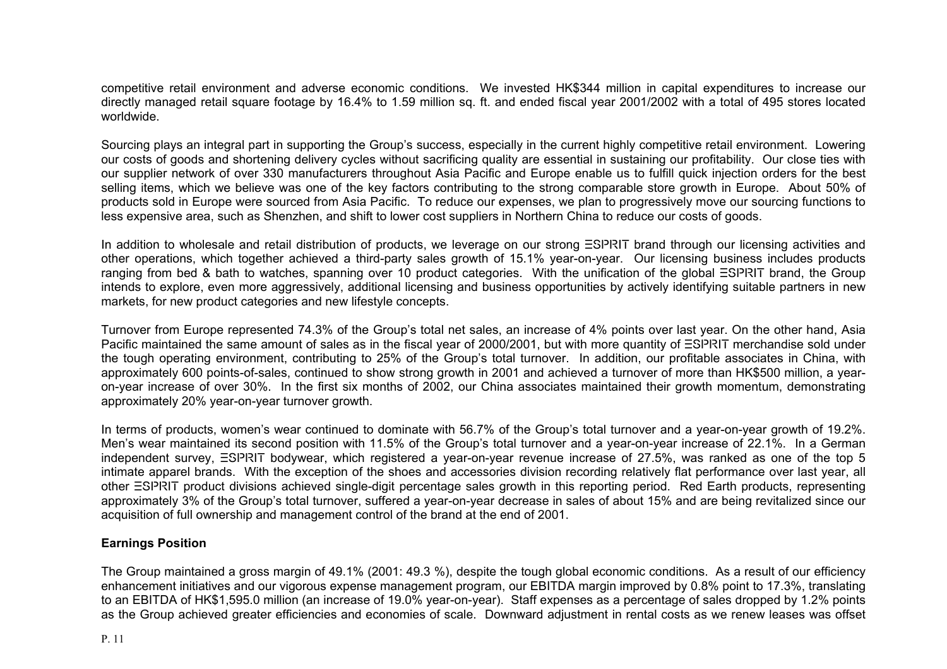competitive retail environment and adverse economic conditions. We invested HK\$344 million in capital expenditures to increase our directly managed retail square footage by 16.4% to 1.59 million sq. ft. and ended fiscal year 2001/2002 with a total of 495 stores located worldwide.

Sourcing plays an integral part in supporting the Group's success, especially in the current highly competitive retail environment. Lowering our costs of goods and shortening delivery cycles without sacrificing quality are essential in sustaining our profitability. Our close ties with our supplier network of over 330 manufacturers throughout Asia Pacific and Europe enable us to fulfill quick injection orders for the best selling items, which we believe was one of the key factors contributing to the strong comparable store growth in Europe. About 50% of products sold in Europe were sourced from Asia Pacific. To reduce our expenses, we plan to progressively move our sourcing functions to less expensive area, such as Shenzhen, and shift to lower cost suppliers in Northern China to reduce our costs of goods.

In addition to wholesale and retail distribution of products, we leverage on our strong ESPRIT brand through our licensing activities and other operations, which together achieved a third-party sales growth of 15.1% year-on-year. Our licensing business includes products ranging from bed & bath to watches, spanning over 10 product categories. With the unification of the global ESPRIT brand, the Group intends to explore, even more aggressively, additional licensing and business opportunities by actively identifying suitable partners in new markets, for new product categories and new lifestyle concepts.

Turnover from Europe represented 74.3% of the Group's total net sales, an increase of 4% points over last year. On the other hand, Asia Pacific maintained the same amount of sales as in the fiscal year of 2000/2001, but with more quantity of  $\equiv$ SPRIT merchandise sold under the tough operating environment, contributing to 25% of the Group's total turnover. In addition, our profitable associates in China, with approximately 600 points-of-sales, continued to show strong growth in 2001 and achieved a turnover of more than HK\$500 million, a yearon-year increase of over 30%. In the first six months of 2002, our China associates maintained their growth momentum, demonstrating approximately 20% year-on-year turnover growth.

In terms of products, women's wear continued to dominate with 56.7% of the Group's total turnover and a year-on-year growth of 19.2%. Men's wear maintained its second position with 11.5% of the Group's total turnover and a year-on-year increase of 22.1%. In a German independent survey, ESPRIT bodywear, which registered a year-on-year revenue increase of 27.5%, was ranked as one of the top 5 intimate apparel brands. With the exception of the shoes and accessories division recording relatively flat performance over last year, all other ESPRIT product divisions achieved single-digit percentage sales growth in this reporting period. Red Earth products, representing approximately 3% of the Group's total turnover, suffered a year-on-year decrease in sales of about 15% and are being revitalized since our acquisition of full ownership and management control of the brand at the end of 2001.

# **Earnings Position**

The Group maintained a gross margin of 49.1% (2001: 49.3 %), despite the tough global economic conditions. As a result of our efficiency enhancement initiatives and our vigorous expense management program, our EBITDA margin improved by 0.8% point to 17.3%, translating to an EBITDA of HK\$1,595.0 million (an increase of 19.0% year-on-year). Staff expenses as a percentage of sales dropped by 1.2% points as the Group achieved greater efficiencies and economies of scale. Downward adjustment in rental costs as we renew leases was offset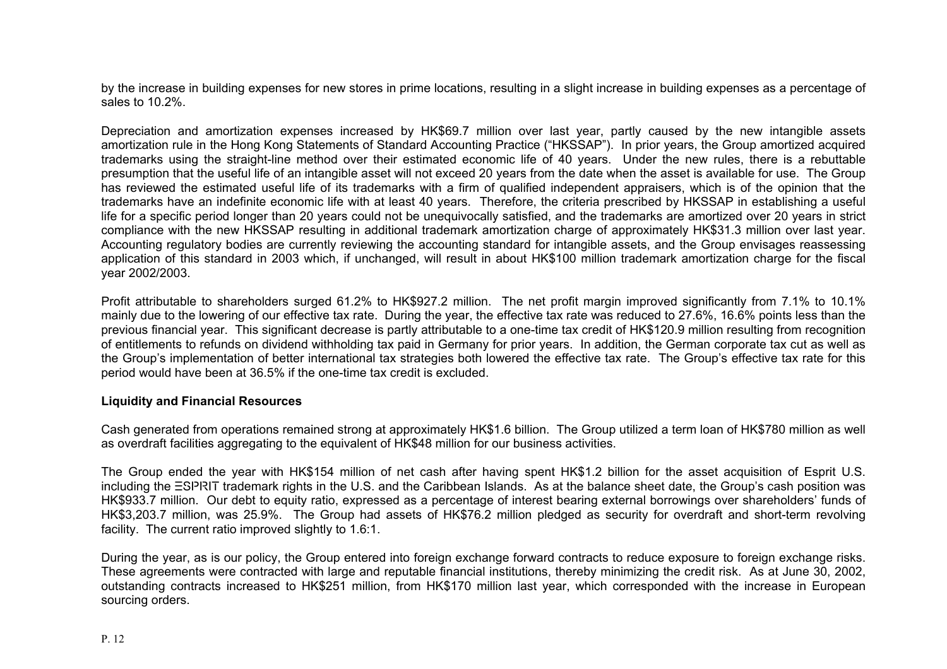by the increase in building expenses for new stores in prime locations, resulting in a slight increase in building expenses as a percentage of sales to 10.2%.

Depreciatio n and amortization expenses increased by HK\$69.7 million over l ast year, partly cause d by the new intangible assets amortization rule in the Hong Kong Statements of Standard Accounting Practice ("HKSSAP"). I n prior years, the Group amortized acquired trademarks using the straight-line method over their estimated economic life of 40 years. Under the new rules, there is a rebuttable presumption that the useful life of an intangible asset will not exceed 20 years from the date when the asset i s available for use. The Group has reviewed the estimated useful life of its trademarks with a firm of qualified independent appraisers, w hich is of the opinion that the trademarks have an indefinite economic life with at least 40 years. Therefore, the criteria prescribed by HKSSAP in establishing a useful life for a specific period longer than 20 years could not be unequivocally satisfied, and the trademarks are amortized over 20 years in strict compliance with the new HKSSAP resulting in additional trademark amortization charge of approximately HK\$31.3 million over last year. Accounting regulatory bodies are currently reviewing the accounting standard for intangible assets, and the Group envisages reassessing application of this standard in 2003 which, if unchanged, will result in about HK\$100 million trademark amortization charge for the fiscal year 2002/2003.

Profit attributable to shareholders surged 61.2% to HK\$927.2 million. The net profit margin improved significantly from 7.1% to 10.1% mainly due t o the lowering of our effective tax rate. During the year, the effective tax rate was reduced to 27.6%, 16.6% points less than the previous financial year. This significant decrease is partly attributable to a one-time tax credit of HK\$120.9 million resulting from recognition of entitlements to refunds on dividend withholding tax paid in Germany f or prior years. In additio n, the German corporate tax cut as well as the Group's implementation of better international tax strategies both lowered the effective tax rate. The Group's effective tax rate for this period would have been at 36.5% if the one-time tax credit is excluded.

#### **Liquidity and Financial Resources**

Cash generated from operations remained strong at approximately HK\$1.6 billion. The Group utilized a ter m loan of HK\$780 million as well as overdraft facilities aggregating to the equivalent of HK\$48 million for o ur business activities.

The Group ended the year with HK\$154 million of net cash after having spent HK\$1.2 billion for the asset acquisition of Esprit U.S. including the ESPRIT trademark rights in the U.S. and the Caribbean Islands. As at the balance sheet date, the Group's cash position was HK\$933.7 million. Our debt to equity ratio, expressed as a percentage of interest bearing external borrowings over shareholders' funds of HK\$3,203.7 million, was 25.9%. The Group had assets of HK\$76.2 million pledged as security for overdraft and short-term revolving facility. The current ratio improved slightly to 1.6:1.

During the year, as is our policy, the Group entered into foreign exchange forward contracts to reduce exposure to foreign exchange risks. These agreements were contracted with large and reputable financial institutions, thereby minimizing the credit risk. As at June 30, 2002, outstanding contracts increased to HK\$251 million, from HK\$170 million last year, which corresponded with the increase in European sourcing ord ers.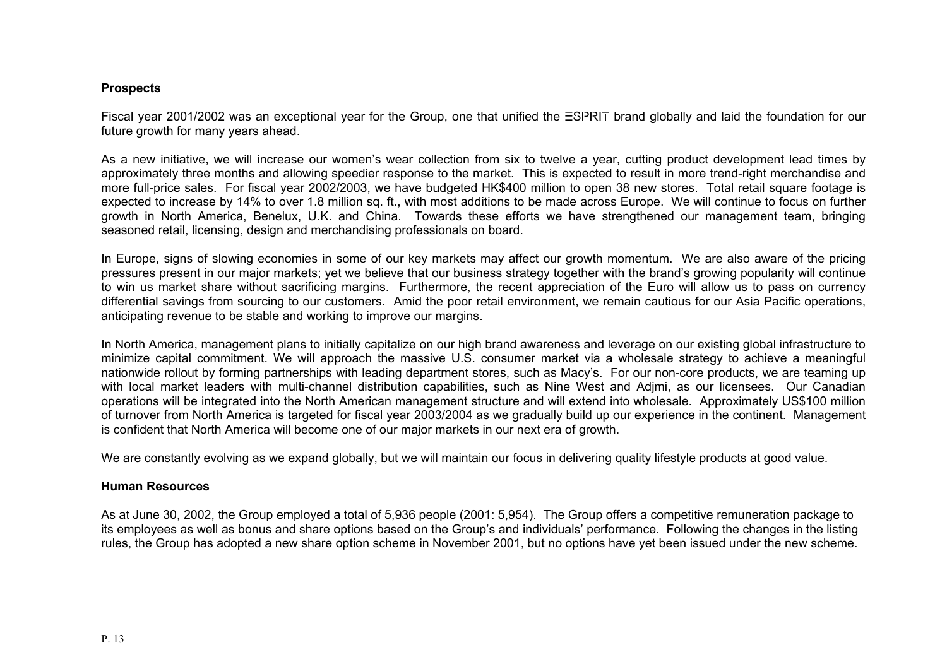#### **Prospects**

Fiscal year 2001/2002 was an exceptional year for the Group, one that unified the ESPRIT brand globally and laid the foundation for our future growth for many years ahead.

As a new initiative, we will increase our women's wear collection from six to twelve a year, cutting product development lead times by approximately three months and allowing speedier response to the market. This is expected to result in more trend-right merchandise and more full-price sales. For fiscal year 2002/2003, we have budgeted HK\$400 million to open 38 new stores. Total retail square footage is expected to increase by 14% to over 1.8 million sq. ft., with most additions to be made across Europe. We will continue to focus on further growth in North America, Benelux, U.K. and China. Towards these efforts we have strengthened our management team, bringing seasoned retail, licensing, design and merchandising professionals on board.

In Europe, signs of slowing economies in some of our key markets may affect our growth momentum. We are also aware of the pricing pressures present in our major markets; yet we believe that our business strategy together with the brand's growing popularity will continue to win us market share without sacrificing margins. Furthermore, the recent appreciation of the Euro will allow us to pass on currency differential savings from sourcing to our customers. Amid the poor retail environment, we remain cautious for our Asia Pacific operations, anticipating revenue to be stable and working to improve our margins.

In North America, management plans to initially capitalize on our high brand awareness and leverage on our existing global infrastructure to minimize capital commitment. We will approach the massive U.S. consumer market via a wholesale strategy to achieve a meaningful nationwide rollout by forming partnerships with leading department stores, such as Macy's. For our non-core products, we are teaming up with local market leaders with multi-channel distribution capabilities, such as Nine West and Adjmi, as our licensees. Our Canadian operations will be integrated into the North American management structure and will extend into wholesale. Approximately US\$100 million of turnover from North America is targeted for fiscal year 2003/2004 as we gradually build up our experience in the continent. Management is confident that North America will become one of our major markets in our next era of growth.

We are constantly evolving as we expand globally, but we will maintain our focus in delivering quality lifestyle products at good value.

#### **Human Resources**

As at June 30, 2002, the Group employed a total of 5,936 people (2001: 5,954). The Group offers a competitive remuneration package to its employees as well as bonus and share options based on the Group's and individuals' performance. Following the changes in the listing rules, the Group has adopted a new share option scheme in November 2001, but no options have yet been issued under the new scheme.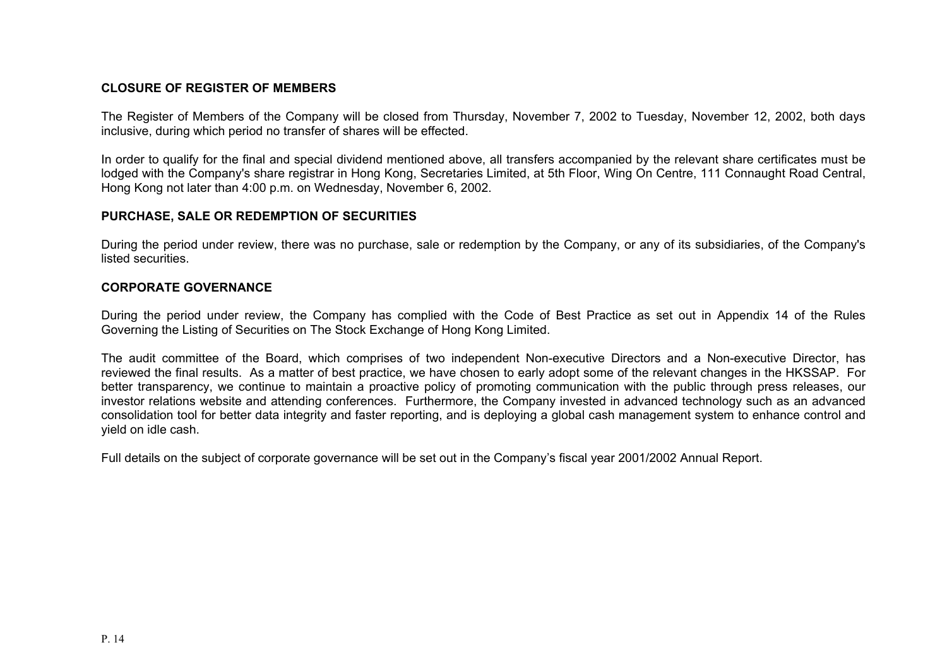# **CLOSURE OF REGISTER OF MEMBERS**

The Register of Members of the Company will be closed from Thursday, November 7, 2002 to Tuesday, November 12, 2002, both days inclusive, during which period no transfer of shares will be effected.

In order to qualify for the final and special dividend mentioned above, all transfers accompanied by the relevant share certificates must be lodged with the Company's share registrar in Hong Kong, Secretaries Limited, at 5th Floor, Wing On Centre, 111 Connaught Road Central, Hong Kong not later than 4:00 p.m. on Wednesday, November 6, 2002.

# **PURCHASE, SALE OR REDEMPTION OF SECURITIES**

During the period under review, there was no purchase, sale or redemption by the Company, or any of its subsidiaries, of the Company's listed securities.

#### **CORPORATE GOVERNANCE**

During the period under review, the Company has complied with the Code of Best Practice as set out in Appendix 14 of the Rules Governing the Listing of Securities on The Stock Exchange of Hong Kong Limited.

The audit committee of the Board, which comprises of two independent Non-executive Directors and a Non-executive Director, has reviewed the final results. As a matter of best practice, we have chosen to early adopt some of the relevant changes in the HKSSAP. For better transparency, we continue to maintain a proactive policy of promoting communication with the public through press releases, our investor relations website and attending conferences. Furthermore, the Company invested in advanced technology such as an advanced consolidation tool for better data integrity and faster reporting, and is deploying a global cash management system to enhance control and yield on idle cash.

Full details on the subject of corporate governance will be set out in the Company's fiscal year 2001/2002 Annual Report.